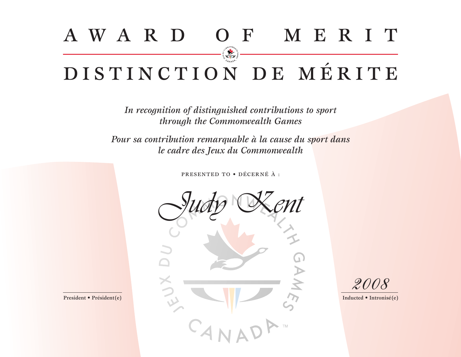## AWA R D O F M E R I T DISTINCTION DE MÉRITE

*In recognition of distinguished contributions to sport through the Commonwealth Games*

*Pour sa contribution remarquable à la cause du sport dans le cadre des Jeux du Commonwealth*

PRESENTED TO • DÉCERNÉ À :



*2008*

President • Président(e) Inducted • Intronisé(e)